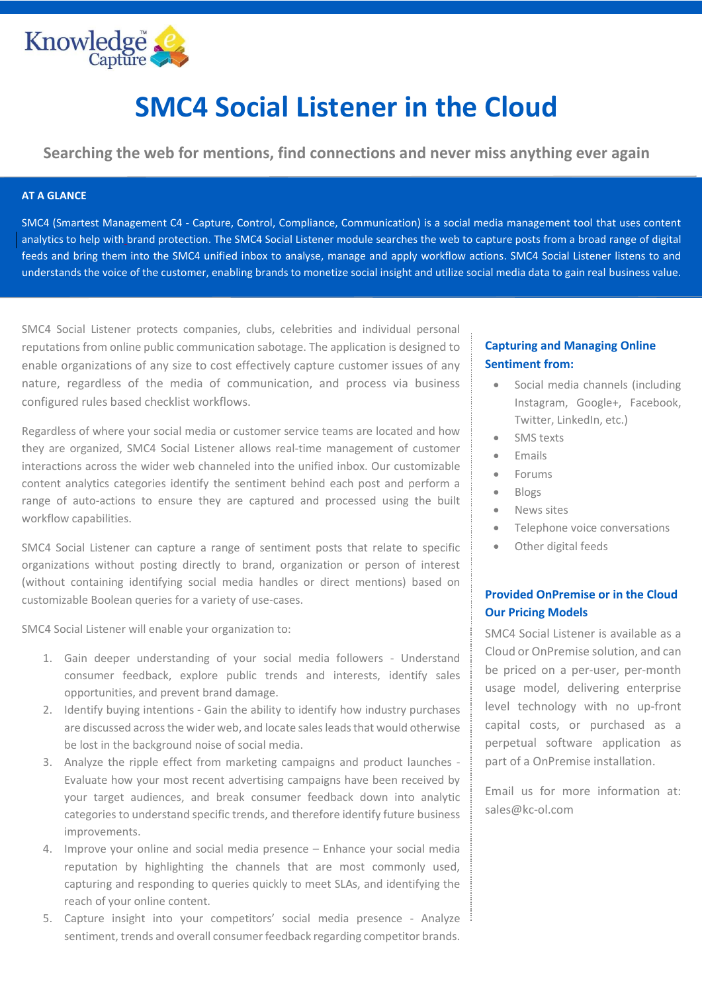

# **SMC4 Social Listener in the Cloud**

**Searching the web for mentions, find connections and never miss anything ever again**

#### **AT A GLANCE**

SMC4 (Smartest Management C4 - Capture, Control, Compliance, Communication) is a social media management tool that uses content analytics to help with brand protection. The SMC4 Social Listener module searches the web to capture posts from a broad range of digital feeds and bring them into the SMC4 unified inbox to analyse, manage and apply workflow actions. SMC4 Social Listener listens to and understands the voice of the customer, enabling brands to monetize social insight and utilize social media data to gain real business value.

SMC4 Social Listener protects companies, clubs, celebrities and individual personal reputations from online public communication sabotage. The application is designed to enable organizations of any size to cost effectively capture customer issues of any nature, regardless of the media of communication, and process via business configured rules based checklist workflows.

Regardless of where your social media or customer service teams are located and how they are organized, SMC4 Social Listener allows real-time management of customer interactions across the wider web channeled into the unified inbox. Our customizable content analytics categories identify the sentiment behind each post and perform a range of auto-actions to ensure they are captured and processed using the built workflow capabilities.

SMC4 Social Listener can capture a range of sentiment posts that relate to specific organizations without posting directly to brand, organization or person of interest (without containing identifying social media handles or direct mentions) based on customizable Boolean queries for a variety of use-cases.

SMC4 Social Listener will enable your organization to:

- 1. Gain deeper understanding of your social media followers Understand consumer feedback, explore public trends and interests, identify sales opportunities, and prevent brand damage.
- 2. Identify buying intentions Gain the ability to identify how industry purchases are discussed across the wider web, and locate sales leads that would otherwise be lost in the background noise of social media.
- 3. Analyze the ripple effect from marketing campaigns and product launches Evaluate how your most recent advertising campaigns have been received by your target audiences, and break consumer feedback down into analytic categories to understand specific trends, and therefore identify future business improvements.
- 4. Improve your online and social media presence Enhance your social media reputation by highlighting the channels that are most commonly used, capturing and responding to queries quickly to meet SLAs, and identifying the reach of your online content.
- 5. Capture insight into your competitors' social media presence Analyze sentiment, trends and overall consumer feedback regarding competitor brands.

# **Capturing and Managing Online Sentiment from:**

- Social media channels (including Instagram, Google+, Facebook, Twitter, LinkedIn, etc.)
- SMS texts
- Emails
- Forums
- Blogs
- News sites
- Telephone voice conversations
- Other digital feeds

# **Provided OnPremise or in the Cloud Our Pricing Models**

SMC4 Social Listener is available as a Cloud or OnPremise solution, and can be priced on a per-user, per-month usage model, delivering enterprise level technology with no up-front capital costs, or purchased as a perpetual software application as part of a OnPremise installation.

Email us for more information at: sales@kc-ol.com